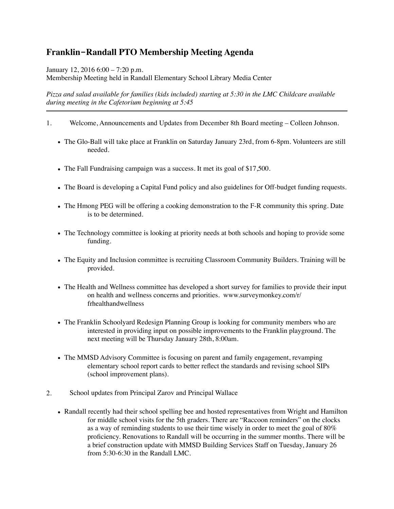## **Franklin-Randall PTO Membership Meeting Agenda**

January 12, 2016 6:00 – 7:20 p.m.

Membership Meeting held in Randall Elementary School Library Media Center

*Pizza and salad available for families (kids included) starting at 5:30 in the LMC Childcare available during meeting in the Cafetorium beginning at 5:45* 

- 1. Welcome, Announcements and Updates from December 8th Board meeting Colleen Johnson.
	- The Glo-Ball will take place at Franklin on Saturday January 23rd, from 6-8pm. Volunteers are still needed.
	- The Fall Fundraising campaign was a success. It met its goal of \$17,500.
	- The Board is developing a Capital Fund policy and also guidelines for Off-budget funding requests.
	- The Hmong PEG will be offering a cooking demonstration to the F-R community this spring. Date is to be determined.
	- The Technology committee is looking at priority needs at both schools and hoping to provide some funding.
	- The Equity and Inclusion committee is recruiting Classroom Community Builders. Training will be provided.
	- The Health and Wellness committee has developed a short survey for families to provide their input on health and wellness concerns and priorities. www.surveymonkey.com/r/ frhealthandwellness
	- The Franklin Schoolyard Redesign Planning Group is looking for community members who are interested in providing input on possible improvements to the Franklin playground. The next meeting will be Thursday January 28th, 8:00am.
	- The MMSD Advisory Committee is focusing on parent and family engagement, revamping elementary school report cards to better reflect the standards and revising school SIPs (school improvement plans).
- 2. School updates from Principal Zarov and Principal Wallace
	- Randall recently had their school spelling bee and hosted representatives from Wright and Hamilton for middle school visits for the 5th graders. There are "Raccoon reminders" on the clocks as a way of reminding students to use their time wisely in order to meet the goal of 80% proficiency. Renovations to Randall will be occurring in the summer months. There will be a brief construction update with MMSD Building Services Staff on Tuesday, January 26 from 5:30-6:30 in the Randall LMC.